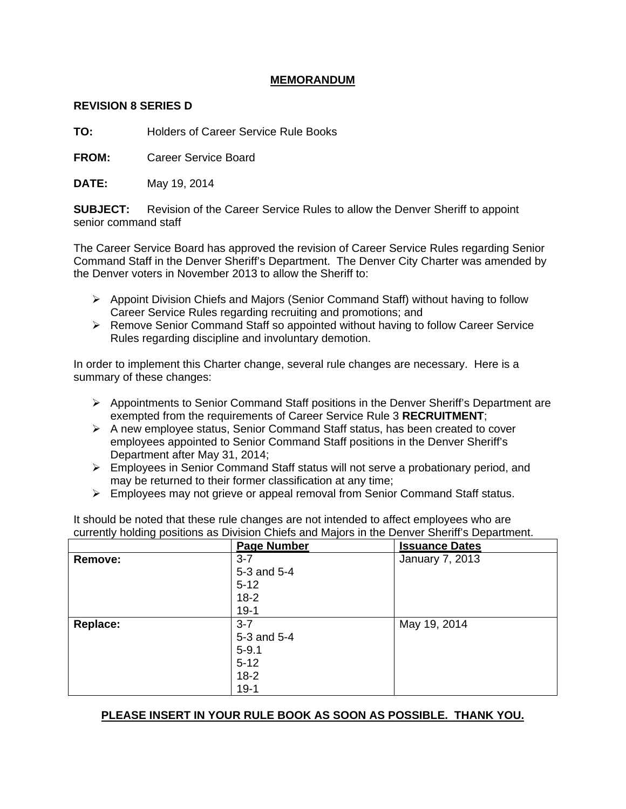### **MEMORANDUM**

#### **REVISION 8 SERIES D**

**TO:** Holders of Career Service Rule Books

**FROM:** Career Service Board

**DATE:** May 19, 2014

**SUBJECT:** Revision of the Career Service Rules to allow the Denver Sheriff to appoint senior command staff

The Career Service Board has approved the revision of Career Service Rules regarding Senior Command Staff in the Denver Sheriff's Department. The Denver City Charter was amended by the Denver voters in November 2013 to allow the Sheriff to:

- $\triangleright$  Appoint Division Chiefs and Majors (Senior Command Staff) without having to follow Career Service Rules regarding recruiting and promotions; and
- $\triangleright$  Remove Senior Command Staff so appointed without having to follow Career Service Rules regarding discipline and involuntary demotion.

In order to implement this Charter change, several rule changes are necessary. Here is a summary of these changes:

- $\triangleright$  Appointments to Senior Command Staff positions in the Denver Sheriff's Department are exempted from the requirements of Career Service Rule 3 **RECRUITMENT**;
- $\triangleright$  A new employee status, Senior Command Staff status, has been created to cover employees appointed to Senior Command Staff positions in the Denver Sheriff's Department after May 31, 2014;
- Employees in Senior Command Staff status will not serve a probationary period, and may be returned to their former classification at any time;
- $\triangleright$  Employees may not grieve or appeal removal from Senior Command Staff status.

It should be noted that these rule changes are not intended to affect employees who are currently holding positions as Division Chiefs and Majors in the Denver Sheriff's Department.

|                 | <b>Page Number</b> | <b>Issuance Dates</b> |
|-----------------|--------------------|-----------------------|
| Remove:         | $3 - 7$            | January 7, 2013       |
|                 | 5-3 and 5-4        |                       |
|                 | $5 - 12$           |                       |
|                 | $18-2$             |                       |
|                 | $19-1$             |                       |
| <b>Replace:</b> | $3 - 7$            | May 19, 2014          |
|                 | 5-3 and 5-4        |                       |
|                 | $5 - 9.1$          |                       |
|                 | $5 - 12$           |                       |
|                 | $18-2$             |                       |
|                 | $19-1$             |                       |

### **PLEASE INSERT IN YOUR RULE BOOK AS SOON AS POSSIBLE. THANK YOU.**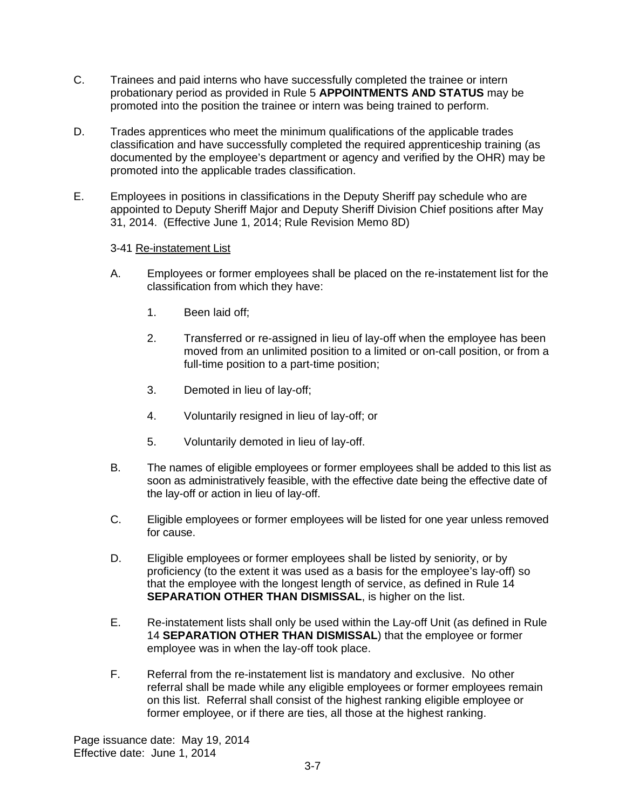- C. Trainees and paid interns who have successfully completed the trainee or intern probationary period as provided in Rule 5 **APPOINTMENTS AND STATUS** may be promoted into the position the trainee or intern was being trained to perform.
- D. Trades apprentices who meet the minimum qualifications of the applicable trades classification and have successfully completed the required apprenticeship training (as documented by the employee's department or agency and verified by the OHR) may be promoted into the applicable trades classification.
- E. Employees in positions in classifications in the Deputy Sheriff pay schedule who are appointed to Deputy Sheriff Major and Deputy Sheriff Division Chief positions after May 31, 2014. (Effective June 1, 2014; Rule Revision Memo 8D)

### 3-41 Re-instatement List

- A. Employees or former employees shall be placed on the re-instatement list for the classification from which they have:
	- 1. Been laid off;
	- 2. Transferred or re-assigned in lieu of lay-off when the employee has been moved from an unlimited position to a limited or on-call position, or from a full-time position to a part-time position;
	- 3. Demoted in lieu of lay-off;
	- 4. Voluntarily resigned in lieu of lay-off; or
	- 5. Voluntarily demoted in lieu of lay-off.
- B. The names of eligible employees or former employees shall be added to this list as soon as administratively feasible, with the effective date being the effective date of the lay-off or action in lieu of lay-off.
- C. Eligible employees or former employees will be listed for one year unless removed for cause.
- D. Eligible employees or former employees shall be listed by seniority, or by proficiency (to the extent it was used as a basis for the employee's lay-off) so that the employee with the longest length of service, as defined in Rule 14 **SEPARATION OTHER THAN DISMISSAL**, is higher on the list.
- E. Re-instatement lists shall only be used within the Lay-off Unit (as defined in Rule 14 **SEPARATION OTHER THAN DISMISSAL**) that the employee or former employee was in when the lay-off took place.
- F. Referral from the re-instatement list is mandatory and exclusive. No other referral shall be made while any eligible employees or former employees remain on this list. Referral shall consist of the highest ranking eligible employee or former employee, or if there are ties, all those at the highest ranking.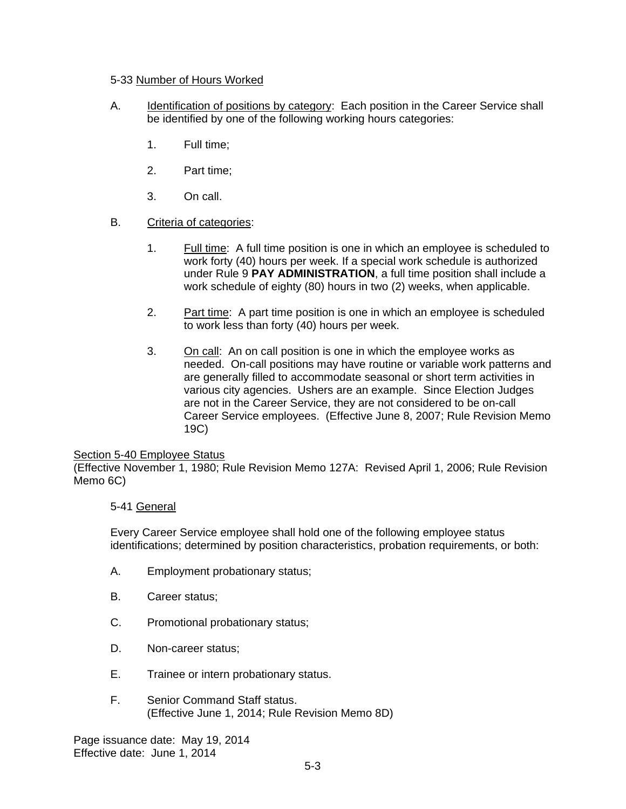### 5-33 Number of Hours Worked

- A. Identification of positions by category: Each position in the Career Service shall be identified by one of the following working hours categories:
	- 1. Full time;
	- 2. Part time;
	- 3. On call.

## B. Criteria of categories:

- 1. Full time: A full time position is one in which an employee is scheduled to work forty (40) hours per week. If a special work schedule is authorized under Rule 9 **PAY ADMINISTRATION**, a full time position shall include a work schedule of eighty (80) hours in two (2) weeks, when applicable.
- 2. Part time: A part time position is one in which an employee is scheduled to work less than forty (40) hours per week.
- 3. On call: An on call position is one in which the employee works as needed. On-call positions may have routine or variable work patterns and are generally filled to accommodate seasonal or short term activities in various city agencies. Ushers are an example. Since Election Judges are not in the Career Service, they are not considered to be on-call Career Service employees. (Effective June 8, 2007; Rule Revision Memo 19C)

### Section 5-40 Employee Status

(Effective November 1, 1980; Rule Revision Memo 127A: Revised April 1, 2006; Rule Revision Memo 6C)

## 5-41 General

Every Career Service employee shall hold one of the following employee status identifications; determined by position characteristics, probation requirements, or both:

- A. Employment probationary status;
- B. Career status;
- C. Promotional probationary status;
- D. Non-career status;
- E. Trainee or intern probationary status.
- F. Senior Command Staff status. (Effective June 1, 2014; Rule Revision Memo 8D)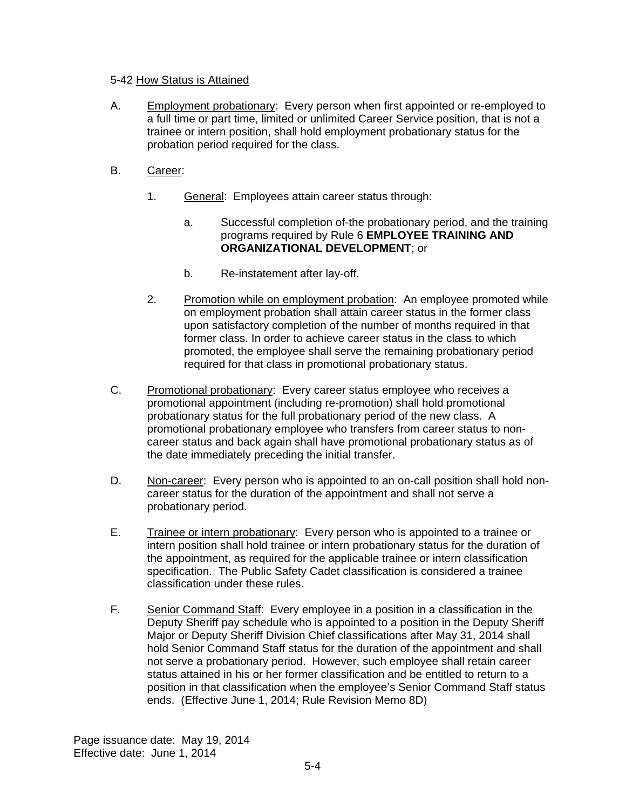#### 5-42 How Status is Attained

- A. Employment probationary: Every person when first appointed or re-employed to a full time or part time, limited or unlimited Career Service position, that is not a trainee or intern position, shall hold employment probationary status for the probation period required for the class.
- B. Career:
	- 1. General: Employees attain career status through:
		- a. Successful completion of-the probationary period, and the training programs required by Rule 6 **EMPLOYEE TRAINING AND ORGANIZATIONAL DEVELOPMENT**; or
		- b. Re-instatement after lay-off.
	- 2. Promotion while on employment probation: An employee promoted while on employment probation shall attain career status in the former class upon satisfactory completion of the number of months required in that former class. In order to achieve career status in the class to which promoted, the employee shall serve the remaining probationary period required for that class in promotional probationary status.
- C. Promotional probationary: Every career status employee who receives a promotional appointment (including re-promotion) shall hold promotional probationary status for the full probationary period of the new class. A promotional probationary employee who transfers from career status to noncareer status and back again shall have promotional probationary status as of the date immediately preceding the initial transfer.
- D. Non-career: Every person who is appointed to an on-call position shall hold noncareer status for the duration of the appointment and shall not serve a probationary period.
- E. Trainee or intern probationary: Every person who is appointed to a trainee or intern position shall hold trainee or intern probationary status for the duration of the appointment, as required for the applicable trainee or intern classification specification. The Public Safety Cadet classification is considered a trainee classification under these rules.
- F. Senior Command Staff: Every employee in a position in a classification in the Deputy Sheriff pay schedule who is appointed to a position in the Deputy Sheriff Major or Deputy Sheriff Division Chief classifications after May 31, 2014 shall hold Senior Command Staff status for the duration of the appointment and shall not serve a probationary period. However, such employee shall retain career status attained in his or her former classification and be entitled to return to a position in that classification when the employee's Senior Command Staff status ends. (Effective June 1, 2014; Rule Revision Memo 8D)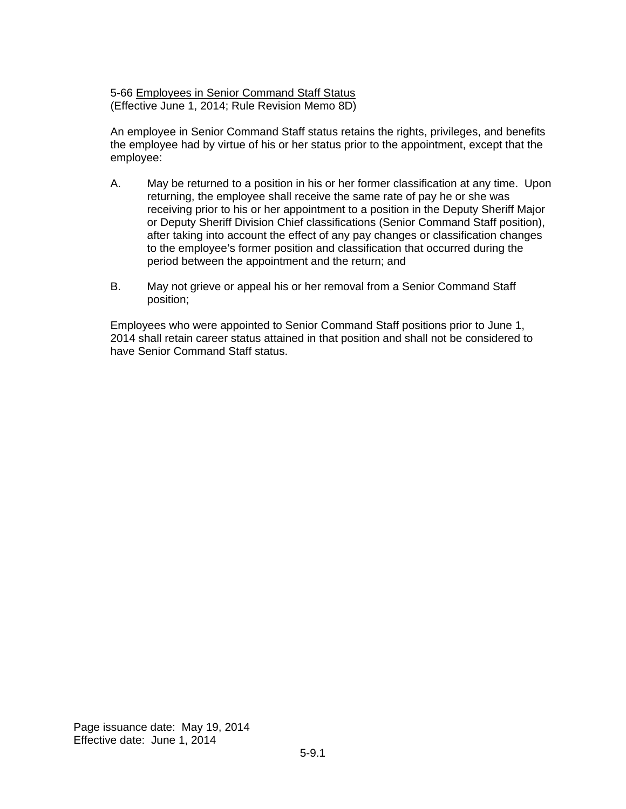5-66 Employees in Senior Command Staff Status (Effective June 1, 2014; Rule Revision Memo 8D)

An employee in Senior Command Staff status retains the rights, privileges, and benefits the employee had by virtue of his or her status prior to the appointment, except that the employee:

- A. May be returned to a position in his or her former classification at any time. Upon returning, the employee shall receive the same rate of pay he or she was receiving prior to his or her appointment to a position in the Deputy Sheriff Major or Deputy Sheriff Division Chief classifications (Senior Command Staff position), after taking into account the effect of any pay changes or classification changes to the employee's former position and classification that occurred during the period between the appointment and the return; and
- B. May not grieve or appeal his or her removal from a Senior Command Staff position;

Employees who were appointed to Senior Command Staff positions prior to June 1, 2014 shall retain career status attained in that position and shall not be considered to have Senior Command Staff status.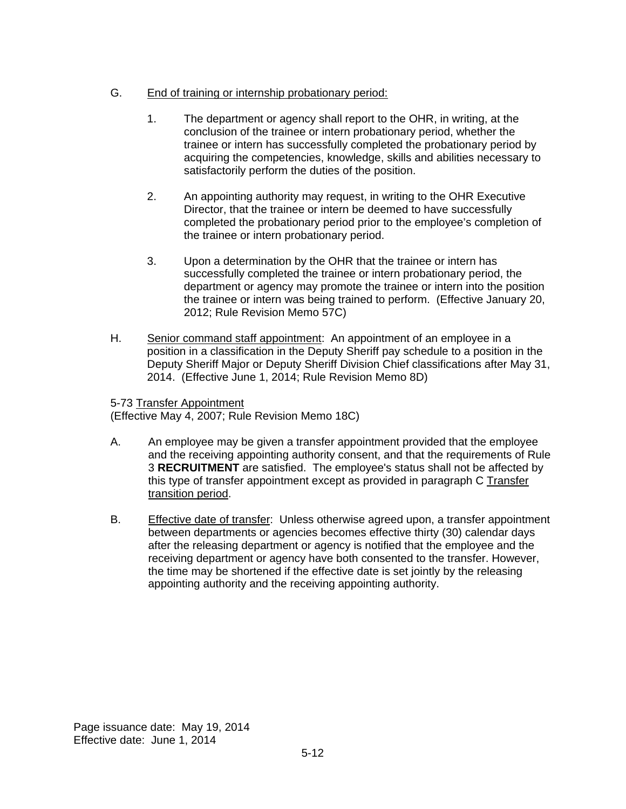# G. End of training or internship probationary period:

- 1. The department or agency shall report to the OHR, in writing, at the conclusion of the trainee or intern probationary period, whether the trainee or intern has successfully completed the probationary period by acquiring the competencies, knowledge, skills and abilities necessary to satisfactorily perform the duties of the position.
- 2. An appointing authority may request, in writing to the OHR Executive Director, that the trainee or intern be deemed to have successfully completed the probationary period prior to the employee's completion of the trainee or intern probationary period.
- 3. Upon a determination by the OHR that the trainee or intern has successfully completed the trainee or intern probationary period, the department or agency may promote the trainee or intern into the position the trainee or intern was being trained to perform. (Effective January 20, 2012; Rule Revision Memo 57C)
- H. Senior command staff appointment: An appointment of an employee in a position in a classification in the Deputy Sheriff pay schedule to a position in the Deputy Sheriff Major or Deputy Sheriff Division Chief classifications after May 31, 2014. (Effective June 1, 2014; Rule Revision Memo 8D)

### 5-73 Transfer Appointment

(Effective May 4, 2007; Rule Revision Memo 18C)

- A. An employee may be given a transfer appointment provided that the employee and the receiving appointing authority consent, and that the requirements of Rule 3 **RECRUITMENT** are satisfied. The employee's status shall not be affected by this type of transfer appointment except as provided in paragraph C Transfer transition period.
- B. Effective date of transfer: Unless otherwise agreed upon, a transfer appointment between departments or agencies becomes effective thirty (30) calendar days after the releasing department or agency is notified that the employee and the receiving department or agency have both consented to the transfer. However, the time may be shortened if the effective date is set jointly by the releasing appointing authority and the receiving appointing authority.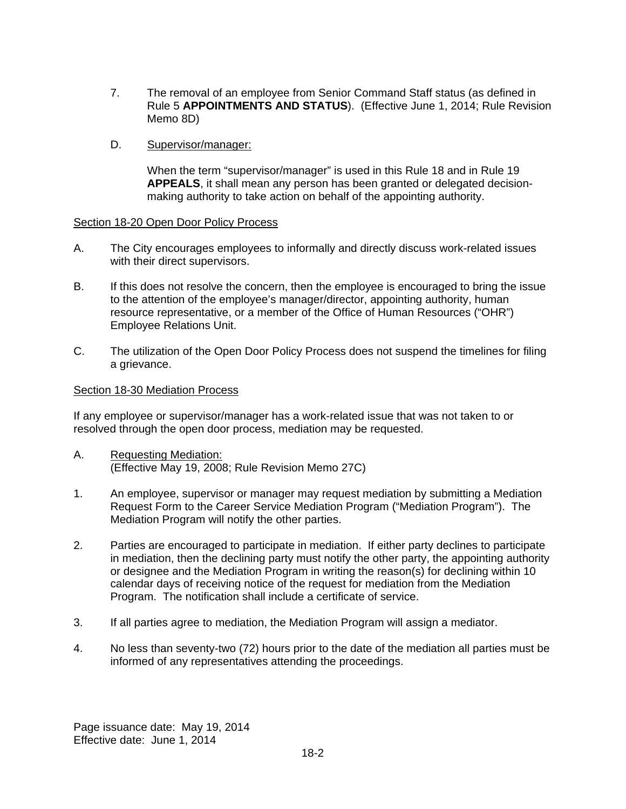- 7. The removal of an employee from Senior Command Staff status (as defined in Rule 5 **APPOINTMENTS AND STATUS**). (Effective June 1, 2014; Rule Revision Memo 8D)
- D. Supervisor/manager:

When the term "supervisor/manager" is used in this Rule 18 and in Rule 19 **APPEALS**, it shall mean any person has been granted or delegated decisionmaking authority to take action on behalf of the appointing authority.

#### Section 18-20 Open Door Policy Process

- A. The City encourages employees to informally and directly discuss work-related issues with their direct supervisors.
- B. If this does not resolve the concern, then the employee is encouraged to bring the issue to the attention of the employee's manager/director, appointing authority, human resource representative, or a member of the Office of Human Resources ("OHR") Employee Relations Unit.
- C. The utilization of the Open Door Policy Process does not suspend the timelines for filing a grievance.

#### Section 18-30 Mediation Process

If any employee or supervisor/manager has a work-related issue that was not taken to or resolved through the open door process, mediation may be requested.

- A. Requesting Mediation: (Effective May 19, 2008; Rule Revision Memo 27C)
- 1. An employee, supervisor or manager may request mediation by submitting a Mediation Request Form to the Career Service Mediation Program ("Mediation Program"). The Mediation Program will notify the other parties.
- 2. Parties are encouraged to participate in mediation. If either party declines to participate in mediation, then the declining party must notify the other party, the appointing authority or designee and the Mediation Program in writing the reason(s) for declining within 10 calendar days of receiving notice of the request for mediation from the Mediation Program. The notification shall include a certificate of service.
- 3. If all parties agree to mediation, the Mediation Program will assign a mediator.
- 4. No less than seventy-two (72) hours prior to the date of the mediation all parties must be informed of any representatives attending the proceedings.